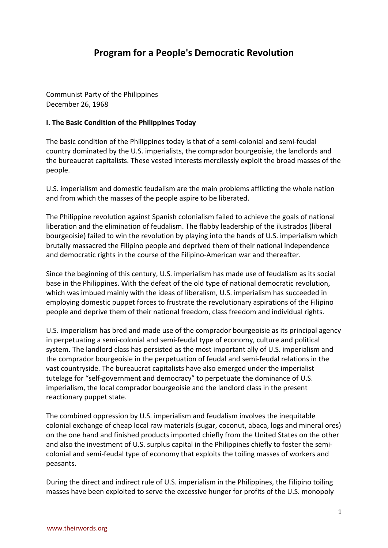# **Program for a People's Democratic Revolution**

Communist Party of the Philippines December 26, 1968

## **I. The Basic Condition of the Philippines Today**

The basic condition of the Philippines today is that of a semi-colonial and semi-feudal country dominated by the U.S. imperialists, the comprador bourgeoisie, the landlords and the bureaucrat capitalists. These vested interests mercilessly exploit the broad masses of the people.

U.S. imperialism and domestic feudalism are the main problems afflicting the whole nation and from which the masses of the people aspire to be liberated.

The Philippine revolution against Spanish colonialism failed to achieve the goals of national liberation and the elimination of feudalism. The flabby leadership of the ilustrados (liberal bourgeoisie) failed to win the revolution by playing into the hands of U.S. imperialism which brutally massacred the Filipino people and deprived them of their national independence and democratic rights in the course of the Filipino-American war and thereafter.

Since the beginning of this century, U.S. imperialism has made use of feudalism as its social base in the Philippines. With the defeat of the old type of national democratic revolution, which was imbued mainly with the ideas of liberalism, U.S. imperialism has succeeded in employing domestic puppet forces to frustrate the revolutionary aspirations of the Filipino people and deprive them of their national freedom, class freedom and individual rights.

U.S. imperialism has bred and made use of the comprador bourgeoisie as its principal agency in perpetuating a semi-colonial and semi-feudal type of economy, culture and political system. The landlord class has persisted as the most important ally of U.S. imperialism and the comprador bourgeoisie in the perpetuation of feudal and semi-feudal relations in the vast countryside. The bureaucrat capitalists have also emerged under the imperialist tutelage for "self-government and democracy" to perpetuate the dominance of U.S. imperialism, the local comprador bourgeoisie and the landlord class in the present reactionary puppet state.

The combined oppression by U.S. imperialism and feudalism involves the inequitable colonial exchange of cheap local raw materials (sugar, coconut, abaca, logs and mineral ores) on the one hand and finished products imported chiefly from the United States on the other and also the investment of U.S. surplus capital in the Philippines chiefly to foster the semicolonial and semi-feudal type of economy that exploits the toiling masses of workers and peasants.

During the direct and indirect rule of U.S. imperialism in the Philippines, the Filipino toiling masses have been exploited to serve the excessive hunger for profits of the U.S. monopoly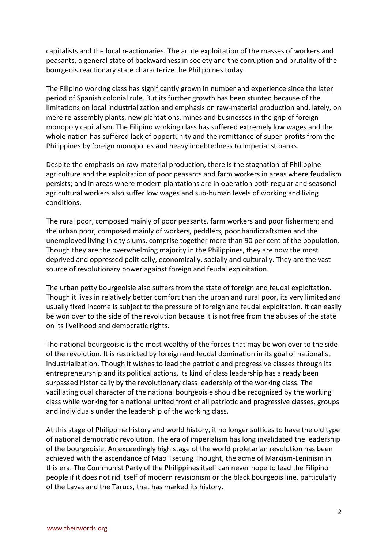capitalists and the local reactionaries. The acute exploitation of the masses of workers and peasants, a general state of backwardness in society and the corruption and brutality of the bourgeois reactionary state characterize the Philippines today.

The Filipino working class has significantly grown in number and experience since the later period of Spanish colonial rule. But its further growth has been stunted because of the limitations on local industrialization and emphasis on raw-material production and, lately, on mere re-assembly plants, new plantations, mines and businesses in the grip of foreign monopoly capitalism. The Filipino working class has suffered extremely low wages and the whole nation has suffered lack of opportunity and the remittance of super-profits from the Philippines by foreign monopolies and heavy indebtedness to imperialist banks.

Despite the emphasis on raw-material production, there is the stagnation of Philippine agriculture and the exploitation of poor peasants and farm workers in areas where feudalism persists; and in areas where modern plantations are in operation both regular and seasonal agricultural workers also suffer low wages and sub-human levels of working and living conditions.

The rural poor, composed mainly of poor peasants, farm workers and poor fishermen; and the urban poor, composed mainly of workers, peddlers, poor handicraftsmen and the unemployed living in city slums, comprise together more than 90 per cent of the population. Though they are the overwhelming majority in the Philippines, they are now the most deprived and oppressed politically, economically, socially and culturally. They are the vast source of revolutionary power against foreign and feudal exploitation.

The urban petty bourgeoisie also suffers from the state of foreign and feudal exploitation. Though it lives in relatively better comfort than the urban and rural poor, its very limited and usually fixed income is subject to the pressure of foreign and feudal exploitation. It can easily be won over to the side of the revolution because it is not free from the abuses of the state on its livelihood and democratic rights.

The national bourgeoisie is the most wealthy of the forces that may be won over to the side of the revolution. It is restricted by foreign and feudal domination in its goal of nationalist industrialization. Though it wishes to lead the patriotic and progressive classes through its entrepreneurship and its political actions, its kind of class leadership has already been surpassed historically by the revolutionary class leadership of the working class. The vacillating dual character of the national bourgeoisie should be recognized by the working class while working for a national united front of all patriotic and progressive classes, groups and individuals under the leadership of the working class.

At this stage of Philippine history and world history, it no longer suffices to have the old type of national democratic revolution. The era of imperialism has long invalidated the leadership of the bourgeoisie. An exceedingly high stage of the world proletarian revolution has been achieved with the ascendance of Mao Tsetung Thought, the acme of Marxism-Leninism in this era. The Communist Party of the Philippines itself can never hope to lead the Filipino people if it does not rid itself of modern revisionism or the black bourgeois line, particularly of the Lavas and the Tarucs, that has marked its history.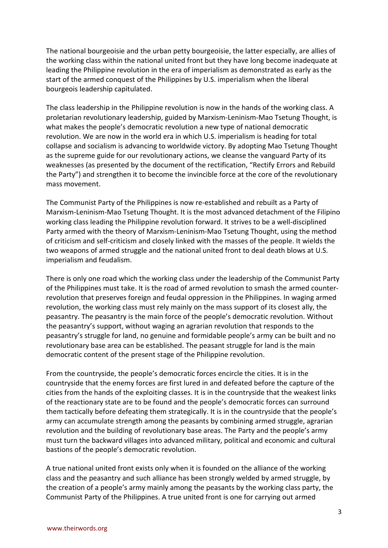The national bourgeoisie and the urban petty bourgeoisie, the latter especially, are allies of the working class within the national united front but they have long become inadequate at leading the Philippine revolution in the era of imperialism as demonstrated as early as the start of the armed conquest of the Philippines by U.S. imperialism when the liberal bourgeois leadership capitulated.

The class leadership in the Philippine revolution is now in the hands of the working class. A proletarian revolutionary leadership, guided by Marxism-Leninism-Mao Tsetung Thought, is what makes the people's democratic revolution a new type of national democratic revolution. We are now in the world era in which U.S. imperialism is heading for total collapse and socialism is advancing to worldwide victory. By adopting Mao Tsetung Thought as the supreme guide for our revolutionary actions, we cleanse the vanguard Party of its weaknesses (as presented by the document of the rectification, "Rectify Errors and Rebuild the Party") and strengthen it to become the invincible force at the core of the revolutionary mass movement.

The Communist Party of the Philippines is now re-established and rebuilt as a Party of Marxism-Leninism-Mao Tsetung Thought. It is the most advanced detachment of the Filipino working class leading the Philippine revolution forward. It strives to be a well-disciplined Party armed with the theory of Marxism-Leninism-Mao Tsetung Thought, using the method of criticism and self-criticism and closely linked with the masses of the people. It wields the two weapons of armed struggle and the national united front to deal death blows at U.S. imperialism and feudalism.

There is only one road which the working class under the leadership of the Communist Party of the Philippines must take. It is the road of armed revolution to smash the armed counterrevolution that preserves foreign and feudal oppression in the Philippines. In waging armed revolution, the working class must rely mainly on the mass support of its closest ally, the peasantry. The peasantry is the main force of the people's democratic revolution. Without the peasantry's support, without waging an agrarian revolution that responds to the peasantry's struggle for land, no genuine and formidable people's army can be built and no revolutionary base area can be established. The peasant struggle for land is the main democratic content of the present stage of the Philippine revolution.

From the countryside, the people's democratic forces encircle the cities. It is in the countryside that the enemy forces are first lured in and defeated before the capture of the cities from the hands of the exploiting classes. It is in the countryside that the weakest links of the reactionary state are to be found and the people's democratic forces can surround them tactically before defeating them strategically. It is in the countryside that the people's army can accumulate strength among the peasants by combining armed struggle, agrarian revolution and the building of revolutionary base areas. The Party and the people's army must turn the backward villages into advanced military, political and economic and cultural bastions of the people's democratic revolution.

A true national united front exists only when it is founded on the alliance of the working class and the peasantry and such alliance has been strongly welded by armed struggle, by the creation of a people's army mainly among the peasants by the working class party, the Communist Party of the Philippines. A true united front is one for carrying out armed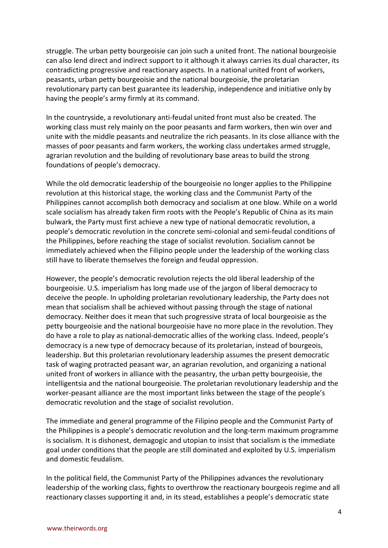struggle. The urban petty bourgeoisie can join such a united front. The national bourgeoisie can also lend direct and indirect support to it although it always carries its dual character, its contradicting progressive and reactionary aspects. In a national united front of workers, peasants, urban petty bourgeoisie and the national bourgeoisie, the proletarian revolutionary party can best guarantee its leadership, independence and initiative only by having the people's army firmly at its command.

In the countryside, a revolutionary anti-feudal united front must also be created. The working class must rely mainly on the poor peasants and farm workers, then win over and unite with the middle peasants and neutralize the rich peasants. In its close alliance with the masses of poor peasants and farm workers, the working class undertakes armed struggle, agrarian revolution and the building of revolutionary base areas to build the strong foundations of people's democracy.

While the old democratic leadership of the bourgeoisie no longer applies to the Philippine revolution at this historical stage, the working class and the Communist Party of the Philippines cannot accomplish both democracy and socialism at one blow. While on a world scale socialism has already taken firm roots with the People's Republic of China as its main bulwark, the Party must first achieve a new type of national democratic revolution, a people's democratic revolution in the concrete semi-colonial and semi-feudal conditions of the Philippines, before reaching the stage of socialist revolution. Socialism cannot be immediately achieved when the Filipino people under the leadership of the working class still have to liberate themselves the foreign and feudal oppression.

However, the people's democratic revolution rejects the old liberal leadership of the bourgeoisie. U.S. imperialism has long made use of the jargon of liberal democracy to deceive the people. In upholding proletarian revolutionary leadership, the Party does not mean that socialism shall be achieved without passing through the stage of national democracy. Neither does it mean that such progressive strata of local bourgeoisie as the petty bourgeoisie and the national bourgeoisie have no more place in the revolution. They do have a role to play as national-democratic allies of the working class. Indeed, people's democracy is a new type of democracy because of its proletarian, instead of bourgeois, leadership. But this proletarian revolutionary leadership assumes the present democratic task of waging protracted peasant war, an agrarian revolution, and organizing a national united front of workers in alliance with the peasantry, the urban petty bourgeoisie, the intelligentsia and the national bourgeoisie. The proletarian revolutionary leadership and the worker-peasant alliance are the most important links between the stage of the people's democratic revolution and the stage of socialist revolution.

The immediate and general programme of the Filipino people and the Communist Party of the Philippines is a people's democratic revolution and the long-term maximum programme is socialism. It is dishonest, demagogic and utopian to insist that socialism is the immediate goal under conditions that the people are still dominated and exploited by U.S. imperialism and domestic feudalism.

In the political field, the Communist Party of the Philippines advances the revolutionary leadership of the working class, fights to overthrow the reactionary bourgeois regime and all reactionary classes supporting it and, in its stead, establishes a people's democratic state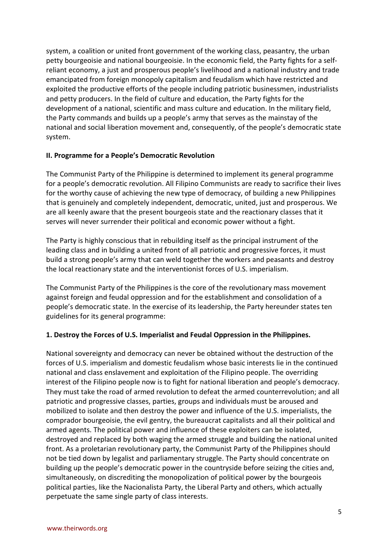system, a coalition or united front government of the working class, peasantry, the urban petty bourgeoisie and national bourgeoisie. In the economic field, the Party fights for a selfreliant economy, a just and prosperous people's livelihood and a national industry and trade emancipated from foreign monopoly capitalism and feudalism which have restricted and exploited the productive efforts of the people including patriotic businessmen, industrialists and petty producers. In the field of culture and education, the Party fights for the development of a national, scientific and mass culture and education. In the military field, the Party commands and builds up a people's army that serves as the mainstay of the national and social liberation movement and, consequently, of the people's democratic state system.

#### **II. Programme for a People's Democratic Revolution**

The Communist Party of the Philippine is determined to implement its general programme for a people's democratic revolution. All Filipino Communists are ready to sacrifice their lives for the worthy cause of achieving the new type of democracy, of building a new Philippines that is genuinely and completely independent, democratic, united, just and prosperous. We are all keenly aware that the present bourgeois state and the reactionary classes that it serves will never surrender their political and economic power without a fight.

The Party is highly conscious that in rebuilding itself as the principal instrument of the leading class and in building a united front of all patriotic and progressive forces, it must build a strong people's army that can weld together the workers and peasants and destroy the local reactionary state and the interventionist forces of U.S. imperialism.

The Communist Party of the Philippines is the core of the revolutionary mass movement against foreign and feudal oppression and for the establishment and consolidation of a people's democratic state. In the exercise of its leadership, the Party hereunder states ten guidelines for its general programme:

# **1. Destroy the Forces of U.S. Imperialist and Feudal Oppression in the Philippines.**

National sovereignty and democracy can never be obtained without the destruction of the forces of U.S. imperialism and domestic feudalism whose basic interests lie in the continued national and class enslavement and exploitation of the Filipino people. The overriding interest of the Filipino people now is to fight for national liberation and people's democracy. They must take the road of armed revolution to defeat the armed counterrevolution; and all patriotic and progressive classes, parties, groups and individuals must be aroused and mobilized to isolate and then destroy the power and influence of the U.S. imperialists, the comprador bourgeoisie, the evil gentry, the bureaucrat capitalists and all their political and armed agents. The political power and influence of these exploiters can be isolated, destroyed and replaced by both waging the armed struggle and building the national united front. As a proletarian revolutionary party, the Communist Party of the Philippines should not be tied down by legalist and parliamentary struggle. The Party should concentrate on building up the people's democratic power in the countryside before seizing the cities and, simultaneously, on discrediting the monopolization of political power by the bourgeois political parties, like the Nacionalista Party, the Liberal Party and others, which actually perpetuate the same single party of class interests.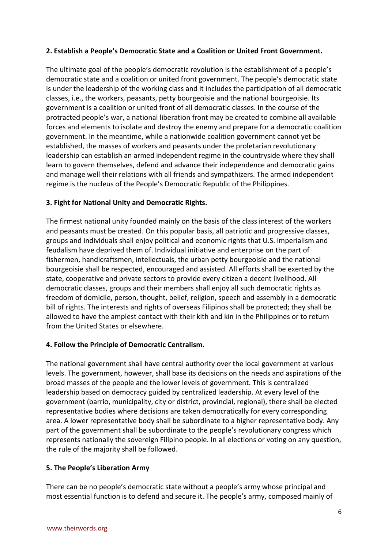## **2. Establish a People's Democratic State and a Coalition or United Front Government.**

The ultimate goal of the people's democratic revolution is the establishment of a people's democratic state and a coalition or united front government. The people's democratic state is under the leadership of the working class and it includes the participation of all democratic classes, i.e., the workers, peasants, petty bourgeoisie and the national bourgeoisie. Its government is a coalition or united front of all democratic classes. In the course of the protracted people's war, a national liberation front may be created to combine all available forces and elements to isolate and destroy the enemy and prepare for a democratic coalition government. In the meantime, while a nationwide coalition government cannot yet be established, the masses of workers and peasants under the proletarian revolutionary leadership can establish an armed independent regime in the countryside where they shall learn to govern themselves, defend and advance their independence and democratic gains and manage well their relations with all friends and sympathizers. The armed independent regime is the nucleus of the People's Democratic Republic of the Philippines.

## **3. Fight for National Unity and Democratic Rights.**

The firmest national unity founded mainly on the basis of the class interest of the workers and peasants must be created. On this popular basis, all patriotic and progressive classes, groups and individuals shall enjoy political and economic rights that U.S. imperialism and feudalism have deprived them of. Individual initiative and enterprise on the part of fishermen, handicraftsmen, intellectuals, the urban petty bourgeoisie and the national bourgeoisie shall be respected, encouraged and assisted. All efforts shall be exerted by the state, cooperative and private sectors to provide every citizen a decent livelihood. All democratic classes, groups and their members shall enjoy all such democratic rights as freedom of domicile, person, thought, belief, religion, speech and assembly in a democratic bill of rights. The interests and rights of overseas Filipinos shall be protected; they shall be allowed to have the amplest contact with their kith and kin in the Philippines or to return from the United States or elsewhere.

# **4. Follow the Principle of Democratic Centralism.**

The national government shall have central authority over the local government at various levels. The government, however, shall base its decisions on the needs and aspirations of the broad masses of the people and the lower levels of government. This is centralized leadership based on democracy guided by centralized leadership. At every level of the government (barrio, municipality, city or district, provincial, regional), there shall be elected representative bodies where decisions are taken democratically for every corresponding area. A lower representative body shall be subordinate to a higher representative body. Any part of the government shall be subordinate to the people's revolutionary congress which represents nationally the sovereign Filipino people. In all elections or voting on any question, the rule of the majority shall be followed.

#### **5. The People's Liberation Army**

There can be no people's democratic state without a people's army whose principal and most essential function is to defend and secure it. The people's army, composed mainly of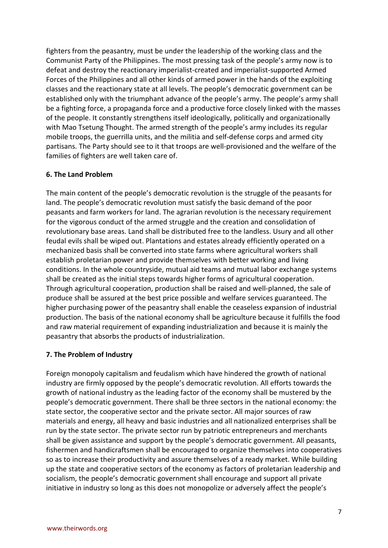fighters from the peasantry, must be under the leadership of the working class and the Communist Party of the Philippines. The most pressing task of the people's army now is to defeat and destroy the reactionary imperialist-created and imperialist-supported Armed Forces of the Philippines and all other kinds of armed power in the hands of the exploiting classes and the reactionary state at all levels. The people's democratic government can be established only with the triumphant advance of the people's army. The people's army shall be a fighting force, a propaganda force and a productive force closely linked with the masses of the people. It constantly strengthens itself ideologically, politically and organizationally with Mao Tsetung Thought. The armed strength of the people's army includes its regular mobile troops, the guerrilla units, and the militia and self-defense corps and armed city partisans. The Party should see to it that troops are well-provisioned and the welfare of the families of fighters are well taken care of.

#### **6. The Land Problem**

The main content of the people's democratic revolution is the struggle of the peasants for land. The people's democratic revolution must satisfy the basic demand of the poor peasants and farm workers for land. The agrarian revolution is the necessary requirement for the vigorous conduct of the armed struggle and the creation and consolidation of revolutionary base areas. Land shall be distributed free to the landless. Usury and all other feudal evils shall be wiped out. Plantations and estates already efficiently operated on a mechanized basis shall be converted into state farms where agricultural workers shall establish proletarian power and provide themselves with better working and living conditions. In the whole countryside, mutual aid teams and mutual labor exchange systems shall be created as the initial steps towards higher forms of agricultural cooperation. Through agricultural cooperation, production shall be raised and well-planned, the sale of produce shall be assured at the best price possible and welfare services guaranteed. The higher purchasing power of the peasantry shall enable the ceaseless expansion of industrial production. The basis of the national economy shall be agriculture because it fulfills the food and raw material requirement of expanding industrialization and because it is mainly the peasantry that absorbs the products of industrialization.

#### **7. The Problem of Industry**

Foreign monopoly capitalism and feudalism which have hindered the growth of national industry are firmly opposed by the people's democratic revolution. All efforts towards the growth of national industry as the leading factor of the economy shall be mustered by the people's democratic government. There shall be three sectors in the national economy: the state sector, the cooperative sector and the private sector. All major sources of raw materials and energy, all heavy and basic industries and all nationalized enterprises shall be run by the state sector. The private sector run by patriotic entrepreneurs and merchants shall be given assistance and support by the people's democratic government. All peasants, fishermen and handicraftsmen shall be encouraged to organize themselves into cooperatives so as to increase their productivity and assure themselves of a ready market. While building up the state and cooperative sectors of the economy as factors of proletarian leadership and socialism, the people's democratic government shall encourage and support all private initiative in industry so long as this does not monopolize or adversely affect the people's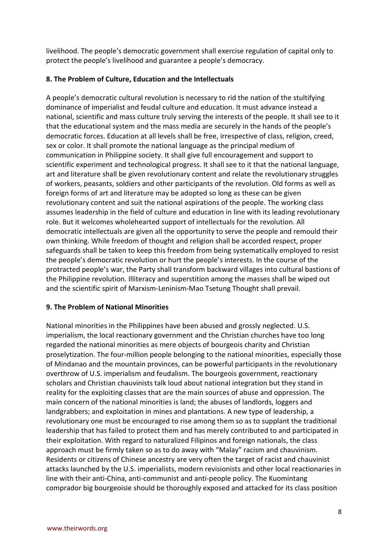livelihood. The people's democratic government shall exercise regulation of capital only to protect the people's livelihood and guarantee a people's democracy.

# **8. The Problem of Culture, Education and the Intellectuals**

A people's democratic cultural revolution is necessary to rid the nation of the stultifying dominance of imperialist and feudal culture and education. It must advance instead a national, scientific and mass culture truly serving the interests of the people. It shall see to it that the educational system and the mass media are securely in the hands of the people's democratic forces. Education at all levels shall be free, irrespective of class, religion, creed, sex or color. It shall promote the national language as the principal medium of communication in Philippine society. It shall give full encouragement and support to scientific experiment and technological progress. It shall see to it that the national language, art and literature shall be given revolutionary content and relate the revolutionary struggles of workers, peasants, soldiers and other participants of the revolution. Old forms as well as foreign forms of art and literature may be adopted so long as these can be given revolutionary content and suit the national aspirations of the people. The working class assumes leadership in the field of culture and education in line with its leading revolutionary role. But it welcomes wholehearted support of intellectuals for the revolution. All democratic intellectuals are given all the opportunity to serve the people and remould their own thinking. While freedom of thought and religion shall be accorded respect, proper safeguards shall be taken to keep this freedom from being systematically employed to resist the people's democratic revolution or hurt the people's interests. In the course of the protracted people's war, the Party shall transform backward villages into cultural bastions of the Philippine revolution. Illiteracy and superstition among the masses shall be wiped out and the scientific spirit of Marxism-Leninism-Mao Tsetung Thought shall prevail.

#### **9. The Problem of National Minorities**

National minorities in the Philippines have been abused and grossly neglected. U.S. imperialism, the local reactionary government and the Christian churches have too long regarded the national minorities as mere objects of bourgeois charity and Christian proselytization. The four-million people belonging to the national minorities, especially those of Mindanao and the mountain provinces, can be powerful participants in the revolutionary overthrow of U.S. imperialism and feudalism. The bourgeois government, reactionary scholars and Christian chauvinists talk loud about national integration but they stand in reality for the exploiting classes that are the main sources of abuse and oppression. The main concern of the national minorities is land; the abuses of landlords, loggers and landgrabbers; and exploitation in mines and plantations. A new type of leadership, a revolutionary one must be encouraged to rise among them so as to supplant the traditional leadership that has failed to protect them and has merely contributed to and participated in their exploitation. With regard to naturalized Filipinos and foreign nationals, the class approach must be firmly taken so as to do away with "Malay" racism and chauvinism. Residents or citizens of Chinese ancestry are very often the target of racist and chauvinist attacks launched by the U.S. imperialists, modern revisionists and other local reactionaries in line with their anti-China, anti-communist and anti-people policy. The Kuomintang comprador big bourgeoisie should be thoroughly exposed and attacked for its class position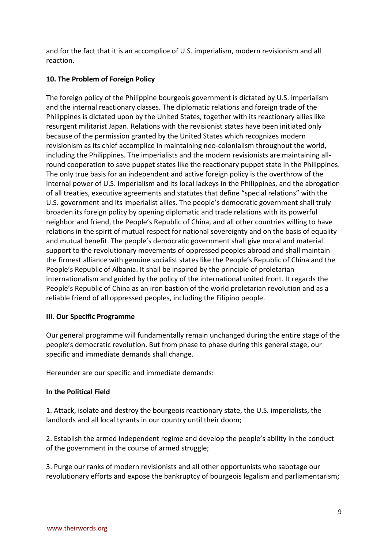and for the fact that it is an accomplice of U.S. imperialism, modern revisionism and all reaction.

# **10. The Problem of Foreign Policy**

The foreign policy of the Philippine bourgeois government is dictated by U.S. imperialism and the internal reactionary classes. The diplomatic relations and foreign trade of the Philippines is dictated upon by the United States, together with its reactionary allies like resurgent militarist Japan. Relations with the revisionist states have been initiated only because of the permission granted by the United States which recognizes modern revisionism as its chief accomplice in maintaining neo-colonialism throughout the world, including the Philippines. The imperialists and the modern revisionists are maintaining allround cooperation to save puppet states like the reactionary puppet state in the Philippines. The only true basis for an independent and active foreign policy is the overthrow of the internal power of U.S. imperialism and its local lackeys in the Philippines, and the abrogation of all treaties, executive agreements and statutes that define "special relations" with the U.S. government and its imperialist allies. The people's democratic government shall truly broaden its foreign policy by opening diplomatic and trade relations with its powerful neighbor and friend, the People's Republic of China, and all other countries willing to have relations in the spirit of mutual respect for national sovereignty and on the basis of equality and mutual benefit. The people's democratic government shall give moral and material support to the revolutionary movements of oppressed peoples abroad and shall maintain the firmest alliance with genuine socialist states like the People's Republic of China and the People's Republic of Albania. It shall be inspired by the principle of proletarian internationalism and guided by the policy of the international united front. It regards the People's Republic of China as an iron bastion of the world proletarian revolution and as a reliable friend of all oppressed peoples, including the Filipino people.

# **III. Our Specific Programme**

Our general programme will fundamentally remain unchanged during the entire stage of the people's democratic revolution. But from phase to phase during this general stage, our specific and immediate demands shall change.

Hereunder are our specific and immediate demands:

# **In the Political Field**

1. Attack, isolate and destroy the bourgeois reactionary state, the U.S. imperialists, the landlords and all local tyrants in our country until their doom;

2. Establish the armed independent regime and develop the people's ability in the conduct of the government in the course of armed struggle;

3. Purge our ranks of modern revisionists and all other opportunists who sabotage our revolutionary efforts and expose the bankruptcy of bourgeois legalism and parliamentarism;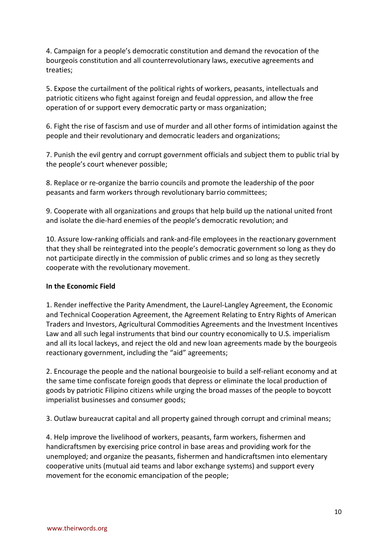4. Campaign for a people's democratic constitution and demand the revocation of the bourgeois constitution and all counterrevolutionary laws, executive agreements and treaties;

5. Expose the curtailment of the political rights of workers, peasants, intellectuals and patriotic citizens who fight against foreign and feudal oppression, and allow the free operation of or support every democratic party or mass organization;

6. Fight the rise of fascism and use of murder and all other forms of intimidation against the people and their revolutionary and democratic leaders and organizations;

7. Punish the evil gentry and corrupt government officials and subject them to public trial by the people's court whenever possible;

8. Replace or re-organize the barrio councils and promote the leadership of the poor peasants and farm workers through revolutionary barrio committees;

9. Cooperate with all organizations and groups that help build up the national united front and isolate the die-hard enemies of the people's democratic revolution; and

10. Assure low-ranking officials and rank-and-file employees in the reactionary government that they shall be reintegrated into the people's democratic government so long as they do not participate directly in the commission of public crimes and so long as they secretly cooperate with the revolutionary movement.

#### **In the Economic Field**

1. Render ineffective the Parity Amendment, the Laurel-Langley Agreement, the Economic and Technical Cooperation Agreement, the Agreement Relating to Entry Rights of American Traders and Investors, Agricultural Commodities Agreements and the Investment Incentives Law and all such legal instruments that bind our country economically to U.S. imperialism and all its local lackeys, and reject the old and new loan agreements made by the bourgeois reactionary government, including the "aid" agreements;

2. Encourage the people and the national bourgeoisie to build a self-reliant economy and at the same time confiscate foreign goods that depress or eliminate the local production of goods by patriotic Filipino citizens while urging the broad masses of the people to boycott imperialist businesses and consumer goods;

3. Outlaw bureaucrat capital and all property gained through corrupt and criminal means;

4. Help improve the livelihood of workers, peasants, farm workers, fishermen and handicraftsmen by exercising price control in base areas and providing work for the unemployed; and organize the peasants, fishermen and handicraftsmen into elementary cooperative units (mutual aid teams and labor exchange systems) and support every movement for the economic emancipation of the people;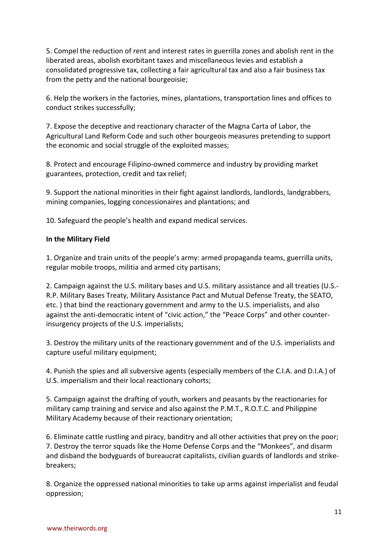5. Compel the reduction of rent and interest rates in guerrilla zones and abolish rent in the liberated areas, abolish exorbitant taxes and miscellaneous levies and establish a consolidated progressive tax, collecting a fair agricultural tax and also a fair business tax from the petty and the national bourgeoisie;

6. Help the workers in the factories, mines, plantations, transportation lines and offices to conduct strikes successfully;

7. Expose the deceptive and reactionary character of the Magna Carta of Labor, the Agricultural Land Reform Code and such other bourgeois measures pretending to support the economic and social struggle of the exploited masses;

8. Protect and encourage Filipino-owned commerce and industry by providing market guarantees, protection, credit and tax relief;

9. Support the national minorities in their fight against landlords, landlords, landgrabbers, mining companies, logging concessionaires and plantations; and

10. Safeguard the people's health and expand medical services.

# **In the Military Field**

1. Organize and train units of the people's army: armed propaganda teams, guerrilla units, regular mobile troops, militia and armed city partisans;

2. Campaign against the U.S. military bases and U.S. military assistance and all treaties (U.S.- R.P. Military Bases Treaty, Military Assistance Pact and Mutual Defense Treaty, the SEATO, etc. ) that bind the reactionary government and army to the U.S. imperialists, and also against the anti-democratic intent of "civic action," the "Peace Corps" and other counterinsurgency projects of the U.S. imperialists;

3. Destroy the military units of the reactionary government and of the U.S. imperialists and capture useful military equipment;

4. Punish the spies and all subversive agents (especially members of the C.I.A. and D.I.A.) of U.S. imperialism and their local reactionary cohorts;

5. Campaign against the drafting of youth, workers and peasants by the reactionaries for military camp training and service and also against the P.M.T., R.O.T.C. and Philippine Military Academy because of their reactionary orientation;

6. Eliminate cattle rustling and piracy, banditry and all other activities that prey on the poor; 7. Destroy the terror squads like the Home Defense Corps and the "Monkees", and disarm and disband the bodyguards of bureaucrat capitalists, civilian guards of landlords and strikebreakers;

8. Organize the oppressed national minorities to take up arms against imperialist and feudal oppression;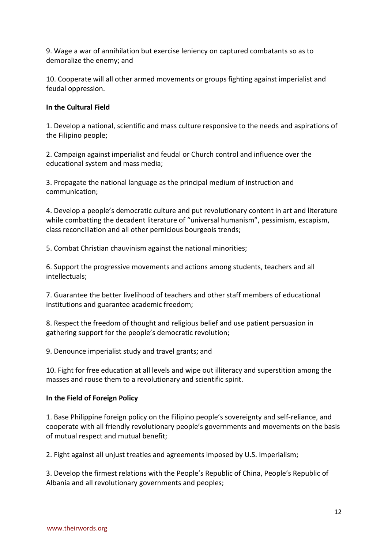9. Wage a war of annihilation but exercise leniency on captured combatants so as to demoralize the enemy; and

10. Cooperate will all other armed movements or groups fighting against imperialist and feudal oppression.

## **In the Cultural Field**

1. Develop a national, scientific and mass culture responsive to the needs and aspirations of the Filipino people;

2. Campaign against imperialist and feudal or Church control and influence over the educational system and mass media;

3. Propagate the national language as the principal medium of instruction and communication;

4. Develop a people's democratic culture and put revolutionary content in art and literature while combatting the decadent literature of "universal humanism", pessimism, escapism, class reconciliation and all other pernicious bourgeois trends;

5. Combat Christian chauvinism against the national minorities;

6. Support the progressive movements and actions among students, teachers and all intellectuals;

7. Guarantee the better livelihood of teachers and other staff members of educational institutions and guarantee academic freedom;

8. Respect the freedom of thought and religious belief and use patient persuasion in gathering support for the people's democratic revolution;

9. Denounce imperialist study and travel grants; and

10. Fight for free education at all levels and wipe out illiteracy and superstition among the masses and rouse them to a revolutionary and scientific spirit.

#### **In the Field of Foreign Policy**

1. Base Philippine foreign policy on the Filipino people's sovereignty and self-reliance, and cooperate with all friendly revolutionary people's governments and movements on the basis of mutual respect and mutual benefit;

2. Fight against all unjust treaties and agreements imposed by U.S. Imperialism;

3. Develop the firmest relations with the People's Republic of China, People's Republic of Albania and all revolutionary governments and peoples;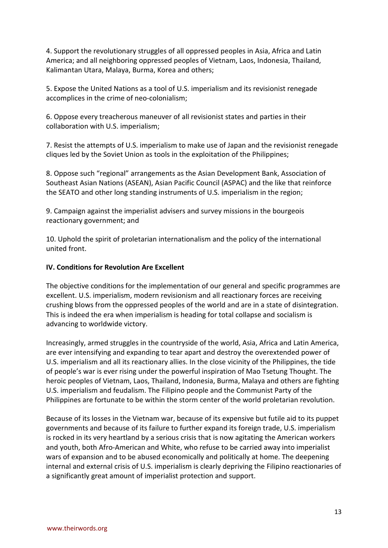4. Support the revolutionary struggles of all oppressed peoples in Asia, Africa and Latin America; and all neighboring oppressed peoples of Vietnam, Laos, Indonesia, Thailand, Kalimantan Utara, Malaya, Burma, Korea and others;

5. Expose the United Nations as a tool of U.S. imperialism and its revisionist renegade accomplices in the crime of neo-colonialism;

6. Oppose every treacherous maneuver of all revisionist states and parties in their collaboration with U.S. imperialism;

7. Resist the attempts of U.S. imperialism to make use of Japan and the revisionist renegade cliques led by the Soviet Union as tools in the exploitation of the Philippines;

8. Oppose such "regional" arrangements as the Asian Development Bank, Association of Southeast Asian Nations (ASEAN), Asian Pacific Council (ASPAC) and the like that reinforce the SEATO and other long standing instruments of U.S. imperialism in the region;

9. Campaign against the imperialist advisers and survey missions in the bourgeois reactionary government; and

10. Uphold the spirit of proletarian internationalism and the policy of the international united front.

## **IV. Conditions for Revolution Are Excellent**

The objective conditions for the implementation of our general and specific programmes are excellent. U.S. imperialism, modern revisionism and all reactionary forces are receiving crushing blows from the oppressed peoples of the world and are in a state of disintegration. This is indeed the era when imperialism is heading for total collapse and socialism is advancing to worldwide victory.

Increasingly, armed struggles in the countryside of the world, Asia, Africa and Latin America, are ever intensifying and expanding to tear apart and destroy the overextended power of U.S. imperialism and all its reactionary allies. In the close vicinity of the Philippines, the tide of people's war is ever rising under the powerful inspiration of Mao Tsetung Thought. The heroic peoples of Vietnam, Laos, Thailand, Indonesia, Burma, Malaya and others are fighting U.S. imperialism and feudalism. The Filipino people and the Communist Party of the Philippines are fortunate to be within the storm center of the world proletarian revolution.

Because of its losses in the Vietnam war, because of its expensive but futile aid to its puppet governments and because of its failure to further expand its foreign trade, U.S. imperialism is rocked in its very heartland by a serious crisis that is now agitating the American workers and youth, both Afro-American and White, who refuse to be carried away into imperialist wars of expansion and to be abused economically and politically at home. The deepening internal and external crisis of U.S. imperialism is clearly depriving the Filipino reactionaries of a significantly great amount of imperialist protection and support.